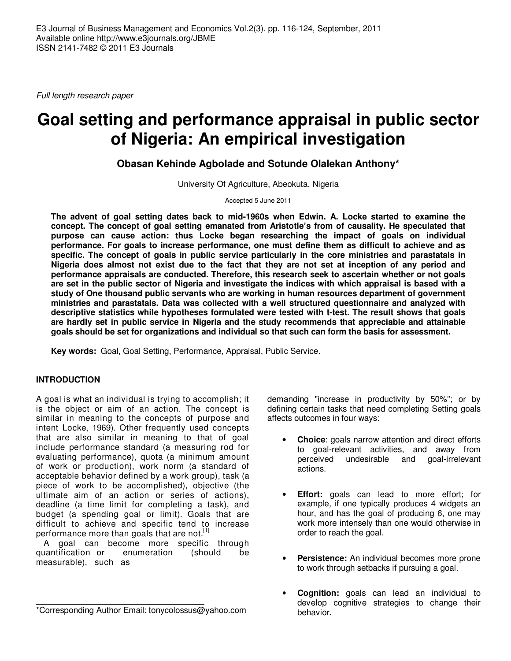Full length research paper

# **Goal setting and performance appraisal in public sector of Nigeria: An empirical investigation**

**Obasan Kehinde Agbolade and Sotunde Olalekan Anthony\*** 

University Of Agriculture, Abeokuta, Nigeria

Accepted 5 June 2011

**The advent of goal setting dates back to mid-1960s when Edwin. A. Locke started to examine the concept. The concept of goal setting emanated from Aristotle's from of causality. He speculated that purpose can cause action: thus Locke began researching the impact of goals on individual performance. For goals to increase performance, one must define them as difficult to achieve and as specific. The concept of goals in public service particularly in the core ministries and parastatals in Nigeria does almost not exist due to the fact that they are not set at inception of any period and performance appraisals are conducted. Therefore, this research seek to ascertain whether or not goals are set in the public sector of Nigeria and investigate the indices with which appraisal is based with a study of One thousand public servants who are working in human resources department of government ministries and parastatals. Data was collected with a well structured questionnaire and analyzed with descriptive statistics while hypotheses formulated were tested with t-test. The result shows that goals are hardly set in public service in Nigeria and the study recommends that appreciable and attainable goals should be set for organizations and individual so that such can form the basis for assessment.** 

**Key words:** Goal, Goal Setting, Performance, Appraisal, Public Service.

## **INTRODUCTION**

A goal is what an individual is trying to accomplish; it is the object or aim of an action. The concept is similar in meaning to the concepts of purpose and intent Locke, 1969). Other frequently used concepts that are also similar in meaning to that of goal include performance standard (a measuring rod for evaluating performance), quota (a minimum amount of work or production), work norm (a standard of acceptable behavior defined by a work group), task (a piece of work to be accomplished), objective (the ultimate aim of an action or series of actions), deadline (a time limit for completing a task), and budget (a spending goal or limit). Goals that are difficult to achieve and specific tend to increase performance more than goals that are not. $^\mathrm{11}$ 

A goal can become more specific through quantification or enumeration (should be measurable), such as

demanding "increase in productivity by 50%"; or by defining certain tasks that need completing Setting goals affects outcomes in four ways:

- **Choice**: goals narrow attention and direct efforts to goal-relevant activities, and away from perceived undesirable and goal-irrelevant actions.
- **Effort:** goals can lead to more effort; for example, if one typically produces 4 widgets an hour, and has the goal of producing 6, one may work more intensely than one would otherwise in order to reach the goal.
- **Persistence:** An individual becomes more prone to work through setbacks if pursuing a goal.
- **Cognition:** goals can lead an individual to develop cognitive strategies to change their behavior.

<sup>\*</sup>Corresponding Author Email: tonycolossus@yahoo.com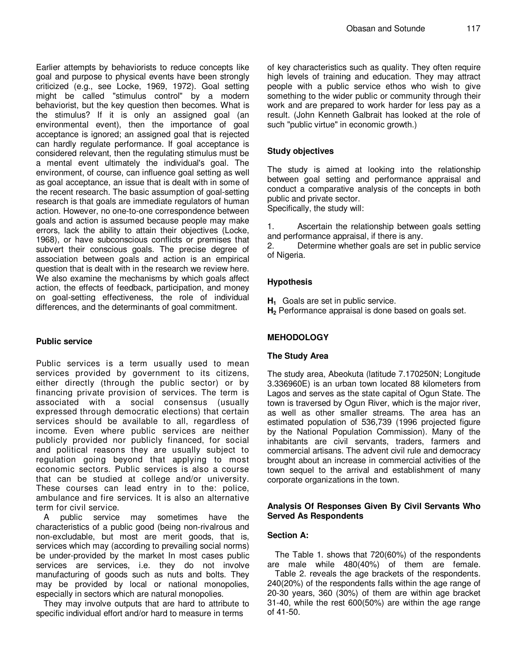Earlier attempts by behaviorists to reduce concepts like goal and purpose to physical events have been strongly criticized (e.g., see Locke, 1969, 1972). Goal setting might be called "stimulus control" by a modern behaviorist, but the key question then becomes. What is the stimulus? If it is only an assigned goal (an environmental event), then the importance of goal acceptance is ignored; an assigned goal that is rejected can hardly regulate performance. If goal acceptance is considered relevant, then the regulating stimulus must be a mental event ultimately the individual's goal. The environment, of course, can influence goal setting as well as goal acceptance, an issue that is dealt with in some of the recent research. The basic assumption of goal-setting research is that goals are immediate regulators of human action. However, no one-to-one correspondence between goals and action is assumed because people may make errors, lack the ability to attain their objectives (Locke, 1968), or have subconscious conflicts or premises that subvert their conscious goals. The precise degree of association between goals and action is an empirical question that is dealt with in the research we review here. We also examine the mechanisms by which goals affect action, the effects of feedback, participation, and money on goal-setting effectiveness, the role of individual differences, and the determinants of goal commitment.

## **Public service**

Public services is a term usually used to mean services provided by government to its citizens, either directly (through the public sector) or by financing private provision of services. The term is associated with a social consensus (usually expressed through democratic elections) that certain services should be available to all, regardless of income. Even where public services are neither publicly provided nor publicly financed, for social and political reasons they are usually subject to regulation going beyond that applying to most economic sectors. Public services is also a course that can be studied at college and/or university. These courses can lead entry in to the: police, ambulance and fire services. It is also an alternative term for civil service.

A public service may sometimes have the characteristics of a public good (being non-rivalrous and non-excludable, but most are merit goods, that is, services which may (according to prevailing social norms) be under-provided by the market In most cases public services are services, i.e. they do not involve manufacturing of goods such as nuts and bolts. They may be provided by local or national monopolies, especially in sectors which are natural monopolies.

They may involve outputs that are hard to attribute to specific individual effort and/or hard to measure in terms

of key characteristics such as quality. They often require high levels of training and education. They may attract people with a public service ethos who wish to give something to the wider public or community through their work and are prepared to work harder for less pay as a result. (John Kenneth Galbrait has looked at the role of such "public virtue" in economic growth.)

## **Study objectives**

The study is aimed at looking into the relationship between goal setting and performance appraisal and conduct a comparative analysis of the concepts in both public and private sector.

Specifically, the study will:

1. Ascertain the relationship between goals setting and performance appraisal, if there is any.

2. Determine whether goals are set in public service of Nigeria.

## **Hypothesis**

**H1** Goals are set in public service.

**H2** Performance appraisal is done based on goals set.

# **MEHODOLOGY**

## **The Study Area**

The study area, Abeokuta (latitude 7.170250N; Longitude 3.336960E) is an urban town located 88 kilometers from Lagos and serves as the state capital of Ogun State. The town is traversed by Ogun River, which is the major river, as well as other smaller streams. The area has an estimated population of 536,739 (1996 projected figure by the National Population Commission). Many of the inhabitants are civil servants, traders, farmers and commercial artisans. The advent civil rule and democracy brought about an increase in commercial activities of the town sequel to the arrival and establishment of many corporate organizations in the town.

## **Analysis Of Responses Given By Civil Servants Who Served As Respondents**

## **Section A:**

The Table 1. shows that 720(60%) of the respondents are male while 480(40%) of them are female. Table 2. reveals the age brackets of the respondents. 240(20%) of the respondents falls within the age range of 20-30 years, 360 (30%) of them are within age bracket

31-40, while the rest 600(50%) are within the age range of 41-50.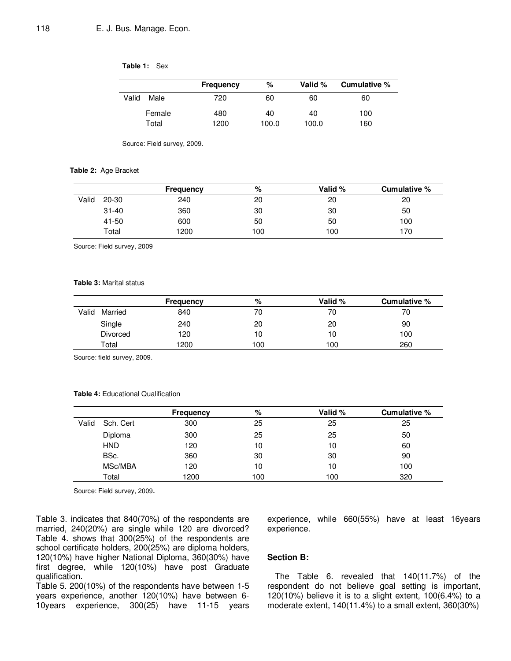#### **Table 1:** Sex

|               | <b>Frequency</b> | %     | Valid % | Cumulative % |
|---------------|------------------|-------|---------|--------------|
| Valid<br>Male | 720              | 60    | 60      | 60           |
| Female        | 480              | 40    | 40      | 100          |
| Total         | 1200             | 100.0 | 100.0   | 160          |

Source: Field survey, 2009.

#### **Table 2:** Age Bracket

|       |           | <b>Frequency</b> | %   | Valid % | Cumulative % |
|-------|-----------|------------------|-----|---------|--------------|
| Valid | 20-30     | 240              | 20  | 20      | 20           |
|       | $31 - 40$ | 360              | 30  | 30      | 50           |
|       | 41-50     | 600              | 50  | 50      | 100          |
|       | Total     | 1200             | 100 | 100     | 170          |

Source: Field survey, 2009

#### **Table 3:** Marital status

|       |                 | <b>Frequency</b> | %   | Valid % | Cumulative % |
|-------|-----------------|------------------|-----|---------|--------------|
| Valid | Married         | 840              | 70  | 70      | 70           |
|       | Single          | 240              | 20  | 20      | 90           |
|       | <b>Divorced</b> | 120              | 10  | 10      | 100          |
|       | Total           | 1200             | 100 | 100     | 260          |

Source: field survey, 2009.

#### **Table 4:** Educational Qualification

|       |            | <b>Frequency</b> | %   | Valid % | Cumulative % |
|-------|------------|------------------|-----|---------|--------------|
| Valid | Sch. Cert  | 300              | 25  | 25      | 25           |
|       | Diploma    | 300              | 25  | 25      | 50           |
|       | <b>HND</b> | 120              | 10  | 10      | 60           |
|       | BSc.       | 360              | 30  | 30      | 90           |
|       | MSc/MBA    | 120              | 10  | 10      | 100          |
|       | Total      | 1200             | 100 | 100     | 320          |

Source: Field survey, 2009.

Table 3. indicates that 840(70%) of the respondents are married, 240(20%) are single while 120 are divorced? Table 4. shows that 300(25%) of the respondents are school certificate holders, 200(25%) are diploma holders, 120(10%) have higher National Diploma, 360(30%) have first degree, while 120(10%) have post Graduate qualification.

Table 5. 200(10%) of the respondents have between 1-5 years experience, another 120(10%) have between 6- 10years experience, 300(25) have 11-15 years experience, while 660(55%) have at least 16years experience.

#### **Section B:**

The Table 6. revealed that 140(11.7%) of the respondent do not believe goal setting is important, 120(10%) believe it is to a slight extent, 100(6.4%) to a moderate extent, 140(11.4%) to a small extent, 360(30%)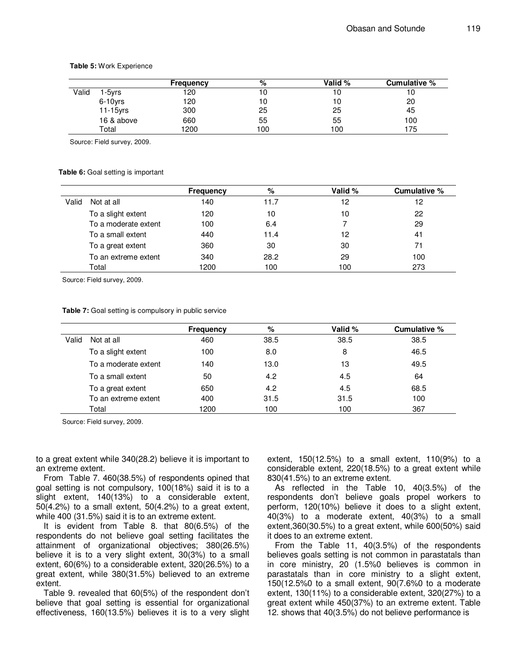#### **Table 5:** Work Experience

|       |             | <b>Frequency</b> | %   | Valid % | Cumulative % |
|-------|-------------|------------------|-----|---------|--------------|
| Valid | 1-5vrs      | 120              | 10  | 10      | 10           |
|       | $6-10$ yrs  | 120              | 10  | 10      | 20           |
|       | $11-15$ yrs | 300              | 25  | 25      | 45           |
|       | 16 & above  | 660              | 55  | 55      | 100          |
|       | Total       | 1200             | 100 | 100     | 175          |

Source: Field survey, 2009.

#### **Table 6:** Goal setting is important

|       |                      | <b>Frequency</b> | %    | Valid % | Cumulative % |
|-------|----------------------|------------------|------|---------|--------------|
| Valid | Not at all           | 140              | 11.7 | 12      | 12           |
|       | To a slight extent   | 120              | 10   | 10      | 22           |
|       | To a moderate extent | 100              | 6.4  |         | 29           |
|       | To a small extent    | 440              | 11.4 | 12      | 41           |
|       | To a great extent    | 360              | 30   | 30      | 71           |
|       | To an extreme extent | 340              | 28.2 | 29      | 100          |
|       | Total                | 1200             | 100  | 100     | 273          |

Source: Field survey, 2009.

**Table 7:** Goal setting is compulsory in public service

|       |                      | <b>Frequency</b> | %    | Valid % | Cumulative % |
|-------|----------------------|------------------|------|---------|--------------|
| Valid | Not at all           | 460              | 38.5 | 38.5    | 38.5         |
|       | To a slight extent   | 100              | 8.0  | 8       | 46.5         |
|       | To a moderate extent | 140              | 13.0 | 13      | 49.5         |
|       | To a small extent    | 50               | 4.2  | 4.5     | 64           |
|       | To a great extent    | 650              | 4.2  | 4.5     | 68.5         |
|       | To an extreme extent | 400              | 31.5 | 31.5    | 100          |
|       | Total                | 1200             | 100  | 100     | 367          |

Source: Field survey, 2009.

to a great extent while 340(28.2) believe it is important to an extreme extent.

From Table 7. 460(38.5%) of respondents opined that goal setting is not compulsory, 100(18%) said it is to a slight extent, 140(13%) to a considerable extent, 50(4.2%) to a small extent, 50(4.2%) to a great extent, while 400 (31.5%) said it is to an extreme extent.

It is evident from Table 8. that 80(6.5%) of the respondents do not believe goal setting facilitates the attainment of organizational objectives; 380(26.5%) believe it is to a very slight extent, 30(3%) to a small extent, 60(6%) to a considerable extent, 320(26.5%) to a great extent, while 380(31.5%) believed to an extreme extent.

Table 9. revealed that 60(5%) of the respondent don't believe that goal setting is essential for organizational effectiveness, 160(13.5%) believes it is to a very slight extent, 150(12.5%) to a small extent, 110(9%) to a considerable extent, 220(18.5%) to a great extent while 830(41.5%) to an extreme extent.

As reflected in the Table 10, 40(3.5%) of the respondents don't believe goals propel workers to perform, 120(10%) believe it does to a slight extent, 40(3%) to a moderate extent, 40(3%) to a small extent,360(30.5%) to a great extent, while 600(50%) said it does to an extreme extent.

From the Table 11, 40(3.5%) of the respondents believes goals setting is not common in parastatals than in core ministry, 20 (1.5%0 believes is common in parastatals than in core ministry to a slight extent, 150(12.5%0 to a small extent, 90(7.6%0 to a moderate extent, 130(11%) to a considerable extent, 320(27%) to a great extent while 450(37%) to an extreme extent. Table 12. shows that 40(3.5%) do not believe performance is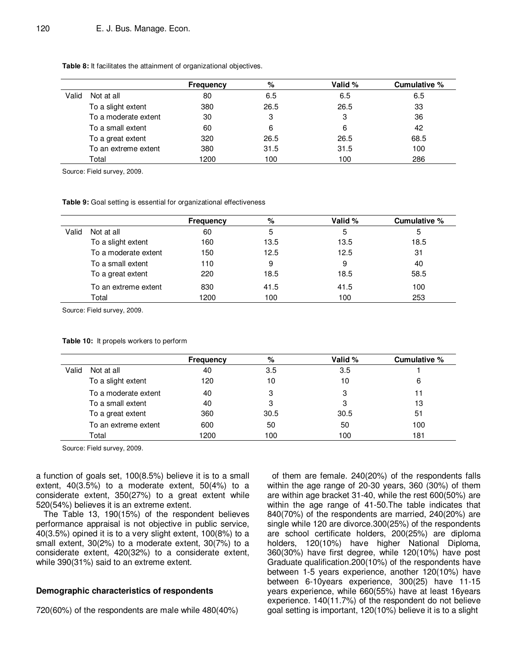**Table 8:** It facilitates the attainment of organizational objectives.

|       |                      | <b>Frequency</b> | %    | Valid % | Cumulative % |
|-------|----------------------|------------------|------|---------|--------------|
| Valid | Not at all           | 80               | 6.5  | 6.5     | 6.5          |
|       | To a slight extent   | 380              | 26.5 | 26.5    | 33           |
|       | To a moderate extent | 30               | 3    | 3       | 36           |
|       | To a small extent    | 60               | 6    | 6       | 42           |
|       | To a great extent    | 320              | 26.5 | 26.5    | 68.5         |
|       | To an extreme extent | 380              | 31.5 | 31.5    | 100          |
|       | Total                | 1200             | 100  | 100     | 286          |

Source: Field survey, 2009.

**Table 9:** Goal setting is essential for organizational effectiveness

|       |                      | <b>Frequency</b> | %    | Valid % | Cumulative % |
|-------|----------------------|------------------|------|---------|--------------|
| Valid | Not at all           | 60               | 5    | 5       | 5            |
|       | To a slight extent   | 160              | 13.5 | 13.5    | 18.5         |
|       | To a moderate extent | 150              | 12.5 | 12.5    | 31           |
|       | To a small extent    | 110              | 9    | 9       | 40           |
|       | To a great extent    | 220              | 18.5 | 18.5    | 58.5         |
|       | To an extreme extent | 830              | 41.5 | 41.5    | 100          |
|       | Total                | 1200             | 100  | 100     | 253          |

Source: Field survey, 2009.

|  |  |  | Table 10: It propels workers to perform |
|--|--|--|-----------------------------------------|
|--|--|--|-----------------------------------------|

|       |                      | <b>Frequency</b> | %    | Valid % | Cumulative % |
|-------|----------------------|------------------|------|---------|--------------|
| Valid | Not at all           | 40               | 3.5  | 3.5     |              |
|       | To a slight extent   | 120              | 10   | 10      | 6            |
|       | To a moderate extent | 40               | 3    |         | 11           |
|       | To a small extent    | 40               | 3    |         | 13           |
|       | To a great extent    | 360              | 30.5 | 30.5    | 51           |
|       | To an extreme extent | 600              | 50   | 50      | 100          |
|       | Total                | 1200             | 100  | 100     | 181          |

Source: Field survey, 2009.

a function of goals set, 100(8.5%) believe it is to a small extent, 40(3.5%) to a moderate extent, 50(4%) to a considerate extent, 350(27%) to a great extent while 520(54%) believes it is an extreme extent.

The Table 13, 190(15%) of the respondent believes performance appraisal is not objective in public service, 40(3.5%) opined it is to a very slight extent, 100(8%) to a small extent, 30(2%) to a moderate extent, 30(7%) to a considerate extent, 420(32%) to a considerate extent, while 390(31%) said to an extreme extent.

## **Demographic characteristics of respondents**

720(60%) of the respondents are male while 480(40%)

 of them are female. 240(20%) of the respondents falls within the age range of 20-30 years, 360 (30%) of them are within age bracket 31-40, while the rest 600(50%) are within the age range of 41-50.The table indicates that 840(70%) of the respondents are married, 240(20%) are single while 120 are divorce.300(25%) of the respondents are school certificate holders, 200(25%) are diploma holders, 120(10%) have higher National Diploma, 360(30%) have first degree, while 120(10%) have post Graduate qualification.200(10%) of the respondents have between 1-5 years experience, another 120(10%) have between 6-10years experience, 300(25) have 11-15 years experience, while 660(55%) have at least 16years experience. 140(11.7%) of the respondent do not believe goal setting is important, 120(10%) believe it is to a slight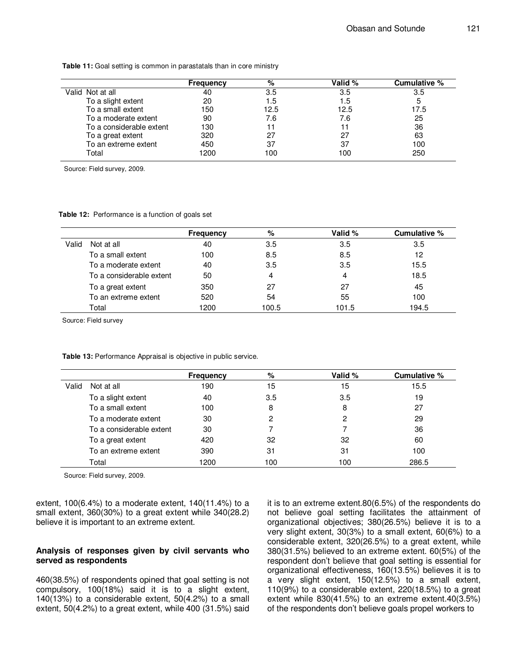| Table 11: Goal setting is common in parastatals than in core ministry |  |
|-----------------------------------------------------------------------|--|
|-----------------------------------------------------------------------|--|

|                          | <b>Frequency</b> | %    | Valid % | Cumulative % |
|--------------------------|------------------|------|---------|--------------|
| Valid Not at all         | 40               | 3.5  | 3.5     | 3.5          |
| To a slight extent       | 20               | 1.5  | 1.5     | 5            |
| To a small extent        | 150              | 12.5 | 12.5    | 17.5         |
| To a moderate extent     | 90               | 7.6  | 7.6     | 25           |
| To a considerable extent | 130              |      |         | 36           |
| To a great extent        | 320              | 27   | 27      | 63           |
| To an extreme extent     | 450              | 37   | 37      | 100          |
| Total                    | 1200             | 100  | 100     | 250          |

Source: Field survey, 2009.

#### **Table 12:** Performance is a function of goals set

|       |                          | <b>Frequency</b> | %     | Valid % | Cumulative % |
|-------|--------------------------|------------------|-------|---------|--------------|
| Valid | Not at all               | 40               | 3.5   | 3.5     | 3.5          |
|       | To a small extent        | 100              | 8.5   | 8.5     | 12           |
|       | To a moderate extent     | 40               | 3.5   | 3.5     | 15.5         |
|       | To a considerable extent | 50               | 4     | 4       | 18.5         |
|       | To a great extent        | 350              | 27    | 27      | 45           |
|       | To an extreme extent     | 520              | 54    | 55      | 100          |
|       | Total                    | 1200             | 100.5 | 101.5   | 194.5        |

Source: Field survey

|       |                          | <b>Frequency</b> | %   | Valid % | Cumulative % |
|-------|--------------------------|------------------|-----|---------|--------------|
| Valid | Not at all               | 190              | 15  | 15      | 15.5         |
|       | To a slight extent       | 40               | 3.5 | 3.5     | 19           |
|       | To a small extent        | 100              | 8   | 8       | 27           |
|       | To a moderate extent     | 30               | ົ   | っ       | 29           |
|       | To a considerable extent | 30               |     |         | 36           |
|       | To a great extent        | 420              | 32  | 32      | 60           |
|       | To an extreme extent     | 390              | 31  | 31      | 100          |
|       | Total                    | 1200             | 100 | 100     | 286.5        |

**Table 13:** Performance Appraisal is objective in public service.

Source: Field survey, 2009.

extent,  $100(6.4%)$  to a moderate extent,  $140(11.4%)$  to a small extent, 360(30%) to a great extent while 340(28.2) believe it is important to an extreme extent.

### **Analysis of responses given by civil servants who served as respondents**

460(38.5%) of respondents opined that goal setting is not compulsory, 100(18%) said it is to a slight extent, 140(13%) to a considerable extent, 50(4.2%) to a small extent, 50(4.2%) to a great extent, while 400 (31.5%) said it is to an extreme extent.80(6.5%) of the respondents do not believe goal setting facilitates the attainment of organizational objectives; 380(26.5%) believe it is to a very slight extent, 30(3%) to a small extent, 60(6%) to a considerable extent, 320(26.5%) to a great extent, while 380(31.5%) believed to an extreme extent. 60(5%) of the respondent don't believe that goal setting is essential for organizational effectiveness, 160(13.5%) believes it is to a very slight extent, 150(12.5%) to a small extent, 110(9%) to a considerable extent, 220(18.5%) to a great extent while 830(41.5%) to an extreme extent.40(3.5%) of the respondents don't believe goals propel workers to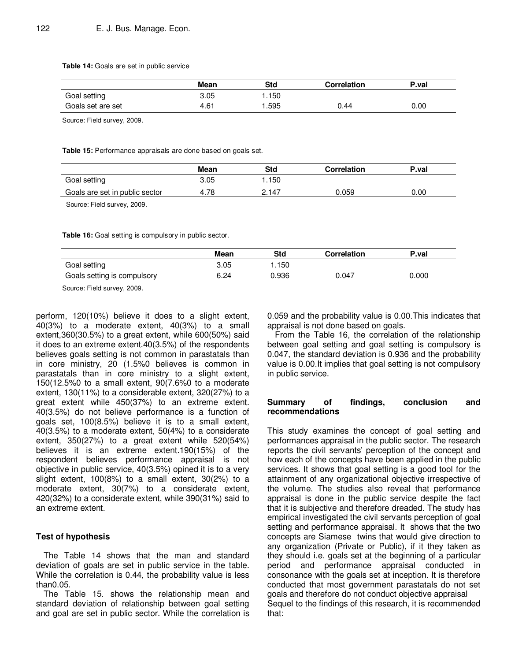#### **Table 14:** Goals are set in public service

|                   | <b>Mean</b> | Std   | Correlation | P.val |
|-------------------|-------------|-------|-------------|-------|
| Goal setting      | 3.05        | l.150 |             |       |
| Goals set are set | 4.61        | .595  | 0.44        | 0.00  |

Source: Field survey, 2009.

**Table 15:** Performance appraisals are done based on goals set.

|                                | Mean | Std   | Correlation | P.val |
|--------------------------------|------|-------|-------------|-------|
| Goal setting                   | 3.05 | .150  |             |       |
| Goals are set in public sector | 4.78 | 2.147 | 0.059       | 0.00  |

Source: Field survey, 2009.

**Table 16:** Goal setting is compulsory in public sector.

|                             | Mean | Std   | <b>Correlation</b> | P.val |
|-----------------------------|------|-------|--------------------|-------|
| Goal setting                | 3.05 | .150  |                    |       |
| Goals setting is compulsory | 6.24 | 0.936 | 0.047              | 0.000 |

Source: Field survey, 2009.

perform, 120(10%) believe it does to a slight extent, 40(3%) to a moderate extent, 40(3%) to a small extent,360(30.5%) to a great extent, while 600(50%) said it does to an extreme extent.40(3.5%) of the respondents believes goals setting is not common in parastatals than in core ministry, 20 (1.5%0 believes is common in parastatals than in core ministry to a slight extent, 150(12.5%0 to a small extent, 90(7.6%0 to a moderate extent, 130(11%) to a considerable extent, 320(27%) to a great extent while 450(37%) to an extreme extent. 40(3.5%) do not believe performance is a function of goals set, 100(8.5%) believe it is to a small extent, 40(3.5%) to a moderate extent, 50(4%) to a considerate extent, 350(27%) to a great extent while 520(54%) believes it is an extreme extent.190(15%) of the respondent believes performance appraisal is not objective in public service, 40(3.5%) opined it is to a very slight extent, 100(8%) to a small extent, 30(2%) to a moderate extent, 30(7%) to a considerate extent, 420(32%) to a considerate extent, while 390(31%) said to an extreme extent.

## **Test of hypothesis**

The Table 14 shows that the man and standard deviation of goals are set in public service in the table. While the correlation is 0.44, the probability value is less than0.05.

The Table 15. shows the relationship mean and standard deviation of relationship between goal setting and goal are set in public sector. While the correlation is

0.059 and the probability value is 0.00.This indicates that appraisal is not done based on goals.

From the Table 16, the correlation of the relationship between goal setting and goal setting is compulsory is 0.047, the standard deviation is 0.936 and the probability value is 0.00.It implies that goal setting is not compulsory in public service.

## **Summary of findings, conclusion and recommendations**

This study examines the concept of goal setting and performances appraisal in the public sector. The research reports the civil servants' perception of the concept and how each of the concepts have been applied in the public services. It shows that goal setting is a good tool for the attainment of any organizational objective irrespective of the volume. The studies also reveal that performance appraisal is done in the public service despite the fact that it is subjective and therefore dreaded. The study has empirical investigated the civil servants perception of goal setting and performance appraisal. It shows that the two concepts are Siamese twins that would give direction to any organization (Private or Public), if it they taken as they should i.e. goals set at the beginning of a particular period and performance appraisal conducted in consonance with the goals set at inception. It is therefore conducted that most government parastatals do not set goals and therefore do not conduct objective appraisal Sequel to the findings of this research, it is recommended that: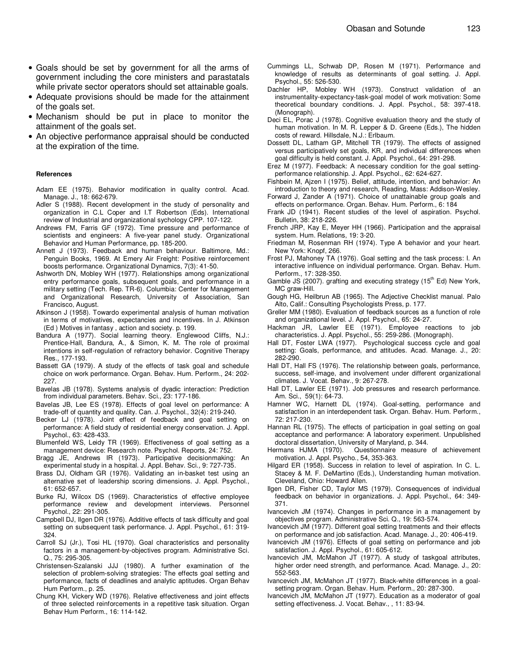- Goals should be set by government for all the arms of government including the core ministers and parastatals while private sector operators should set attainable goals.
- Adequate provisions should be made for the attainment of the goals set.
- Mechanism should be put in place to monitor the attainment of the goals set.
- An objective performance appraisal should be conducted at the expiration of the time.

#### **References**

- Adam EE (1975). Behavior modification in quality control. Acad. Manage. J., 18: 662-679.
- Adler S (1988). Recent development in the study of personality and organization in C.L Coper and I.T Robertson (Eds). International review of Industrial and organizational sychology CPP. 107-122.
- Andrews FM, Farris GF (1972). Time pressure and performance of scientists and engineers: A five-year panel study. Organizational Behavior and Human Performance, pp. 185-200.
- Annett J (1973). Feedback and human behaviour. Baltimore, Md.: Penguin Books, 1969. At Emery Air Freight: Positive reinforcement boosts performance. Organizational Dynamics, 7(3): 41-50.
- Ashworth DN, Mobley WH (1977). Relationships among organizational entry performance goals, subsequent goals, and performance in a military setting (Tech. Rep. TR-6). Columbia: Center for Management and Organizational Research, University of Association, San Francisco, August.
- Atkinson J (1958). Towardo experimental analysis of human motivation in terms of motivatives, expectancies and incentives. In J. Atkinson (Ed ) Motives in fantasy , action and society. p. 199.
- Bandura A (1977). Social learning theory. Englewood Cliffs, N.J.: Prentice-Hall, Bandura, A., & Simon, K. M. The role of proximal intentions in self-regulation of refractory behavior. Cognitive Therapy Res., 177-193.
- Bassett GA (1979). A study of the effects of task goal and schedule choice on work performance. Organ. Behav. Hum. Perform., 24: 202- 227.
- Bavelas JB (1978). Systems analysis of dyadic interaction: Prediction from individual parameters. Behav. Sci., 23: 177-186.
- Bavelas JB, Lee ES (1978). Effects of goal level on performance: A trade-off of quantity and quality. Can. J. Psychol., 32(4): 219-240.
- Becker LJ (1978). Joint effect of feedback and goal setting on performance: A field study of residential energy conservation. J. Appl. Psychol., 63: 428-433.
- Blumenfeld WS, Leidy TR (1969). Effectiveness of goal setting as a management device: Research note. Psychol. Reports, 24: 752.
- Bragg JE, Andrews IR (1973). Participative decisionmaking: An experimental study in a hospital. J. Appl. Behav. Sci., 9: 727-735.
- Brass DJ, Oldham GR (1976). Validating an in-basket test using an alternative set of leadership scoring dimensions. J. Appl. Psychol., 61: 652-657.
- Burke RJ, Wilcox DS (1969). Characteristics of effective employee performance review and development interviews. Personnel Psychol., 22: 291-305.
- Campbell DJ, Ilgen DR (1976). Additive effects of task difficulty and goal setting on subsequent task performance. J. Appl. Psychol., 61: 319- 324.
- Carroll SJ (Jr.), Tosi HL (1970). Goal characteristics and personality factors in a management-by-objectives program. Administrative Sci. Q., 75: 295-305.
- Christensen-Szalanski JJJ (1980). A further examination of the selection of problem-solving strategies: The effects goal setting and performance, facts of deadlines and analytic aptitudes. Organ Behav Hum Perform., p. 25.
- Chung KH, Vickery WD (1976). Relative effectiveness and joint effects of three selected reinforcements in a repetitive task situation. Organ Behav Hum Perform., 16: 114-142.
- Cummings LL, Schwab DP, Rosen M (1971). Performance and knowledge of results as determinants of goal setting. J. Appl. Psychol., 55: 526-530.
- Dachler HP, Mobley WH (1973). Construct validation of an instrumentality-expectancy-task-goal model of work motivation: Some theoretical boundary conditions. J. Appl. Psychol., 58: 397-418. (Monograph).
- Deci EL, Porac J (1978). Cognitive evaluation theory and the study of human motivation. In M. R. Lepper & D. Greene (Eds.), The hidden costs of reward. Hillsdale, N.J.: Erlbaum.
- Dossett DL, Latham GP, Mitchell TR (1979). The effects of assigned versus participatively set goals, KR, and individual differences when goal difficulty is held constant. J. Appl. Psychol., 64: 291-298.
- Erez M (1977). Feedback: A necessary condition for the goal settingperformance relationship. J. Appl. Psychol., 62: 624-627.
- Fishbein M, Ajzen I (1975). Belief, attitude, intention, and behavior: An introduction to theory and research, Reading, Mass: Addison-Wesley.
- Forward J, Zander A (1971). Choice of unattainable group goals and effects on performance. Organ. Behav. Hum. Perform., 6: 184
- Frank JD (1941). Recent studies of the level of aspiration. Psychol. Bulletin, 38: 218-226.
- French JRP, Kay E, Meyer HH (1966). Participation and the appraisal system. Hum. Relations, 19: 3-20.
- Friedman M, Rosenman RH (1974). Type A behavior and your heart. New York: Knopf, 266.
- Frost PJ, Mahoney TA (1976). Goal setting and the task process: I. An interactive influence on individual performance. Organ. Behav. Hum. Perform., 17: 328-350.
- Gamble JS (2007). grafting and executing strategy (15 $^{\text{m}}$  Ed) New York, MC graw-Hill.
- Gough HG, Heilbrun AB (1965). The Adjective Checklist manual. Palo Alto, Calif.: Consulting Psychologists Press, p. 177.
- Greller MM (1980). Evaluation of feedback sources as a function of role and organizational level. J. Appl. Psychol., 65: 24-27.
- Hackman JR, Lawler EE (1971). Employee reactions to job characteristics. J. Appl. Psychol., 55: 259-286. (Monograph).
- Hall DT, Foster LWA (1977). Psychological success cycle and goal setting: Goals, performance, and attitudes. Acad. Manage. J., 20: 282-290.
- Hall DT, Hall FS (1976). The relationship between goals, performance, success, self-image, and involvement under different organizational climates. J. Vocat. Behav., 9: 267-278.
- Hall DT, Lawler EE (1971). Job pressures and research performance. Am. Sci., 59(1): 64-73.
- Hamner WC, Harnett DL (1974). Goal-setting, performance and satisfaction in an interdependent task. Organ. Behav. Hum. Perform., 72: 217-230.
- Hannan RL (1975). The effects of participation in goal setting on goal acceptance and performance: A laboratory experiment. Unpublished doctoral dissertation, University of Maryland, p. 344.
- Hermans HJMA (1970). Questionnaire measure of achievement motivation. J. Appl. Psycho., 54, 353-363.
- Hilgard ER (1958). Success in relation to level of aspiration. In C. L. Stacey & M. F. DeMartino (Eds.), Understanding human motivation. Cleveland, Ohio: Howard Allen.
- Ilgen DR, Fisher CD, Taylor MS (1979). Consequences of individual feedback on behavior in organizations. J. Appl. Psychol., 64: 349- 371.
- Ivancevich JM (1974). Changes in performance in a management by objectives program. Administrative Sci. Q., 19: 563-574.
- Ivancevich JM (1977). Different goal setting treatments and their effects on performance and job satisfaction. Acad. Manage. J., 20: 406-419.
- Ivancevich JM (1976). Effects of goal setting on performance and job satisfaction. J. Appl. Psychol., 61: 605-612.
- Ivancevich JM, McMahon JT (1977). A study of taskgoal attributes, higher order need strength, and performance. Acad. Manage. J., 20: 552-563.
- Ivancevich JM, McMahon JT (1977). Black-white differences in a goalsetting program. Organ. Behav. Hum. Perform., 20: 287-300.
- Ivancevich JM, McMahon JT (1977). Education as a moderator of goal setting effectiveness. J. Vocat. Behav., , 11: 83-94.